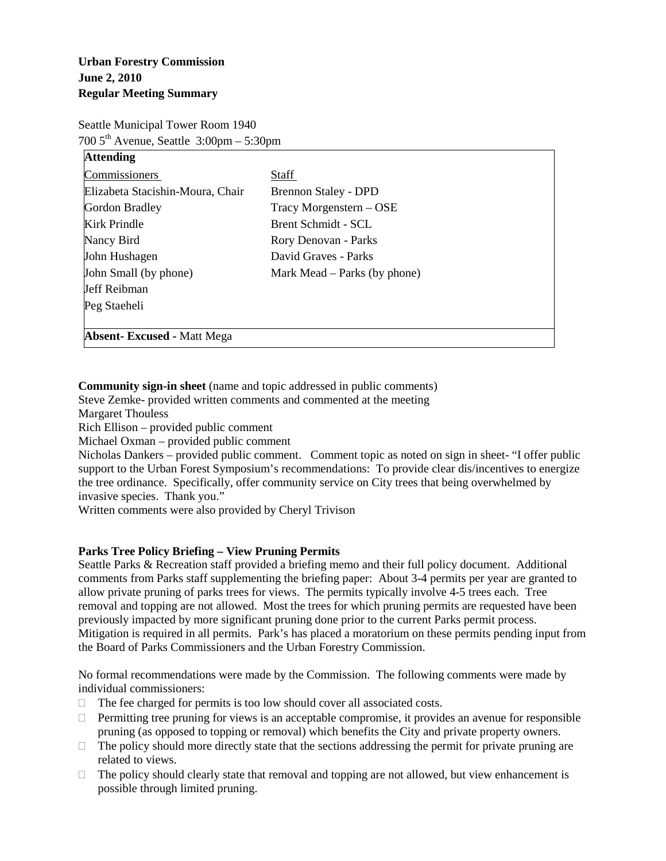# **Urban Forestry Commission June 2, 2010 Regular Meeting Summary**

Seattle Municipal Tower Room 1940  $700\,5^{\text{th}}$  Avenue, Seattle  $3:00\text{pm} - 5:30\text{pm}$ 

| <b>Attending</b>                   |                                |
|------------------------------------|--------------------------------|
| Commissioners                      | Staff                          |
| Elizabeta Stacishin-Moura, Chair   | <b>Brennon Staley - DPD</b>    |
| Gordon Bradley                     | Tracy Morgenstern – OSE        |
| Kirk Prindle                       | Brent Schmidt - SCL            |
| Nancy Bird                         | Rory Denovan - Parks           |
| John Hushagen                      | David Graves - Parks           |
| John Small (by phone)              | Mark Mead $-$ Parks (by phone) |
| Jeff Reibman                       |                                |
| Peg Staeheli                       |                                |
|                                    |                                |
| <b>Absent- Excused - Matt Mega</b> |                                |

**Community sign-in sheet** (name and topic addressed in public comments)

Steve Zemke- provided written comments and commented at the meeting

Margaret Thouless

Rich Ellison – provided public comment

Michael Oxman – provided public comment

Nicholas Dankers – provided public comment. Comment topic as noted on sign in sheet- "I offer public support to the Urban Forest Symposium's recommendations: To provide clear dis/incentives to energize the tree ordinance. Specifically, offer community service on City trees that being overwhelmed by invasive species. Thank you."

Written comments were also provided by Cheryl Trivison

### **Parks Tree Policy Briefing – View Pruning Permits**

Seattle Parks & Recreation staff provided a briefing memo and their full policy document. Additional comments from Parks staff supplementing the briefing paper: About 3-4 permits per year are granted to allow private pruning of parks trees for views. The permits typically involve 4-5 trees each. Tree removal and topping are not allowed. Most the trees for which pruning permits are requested have been previously impacted by more significant pruning done prior to the current Parks permit process. Mitigation is required in all permits. Park's has placed a moratorium on these permits pending input from the Board of Parks Commissioners and the Urban Forestry Commission.

No formal recommendations were made by the Commission. The following comments were made by individual commissioners:

- $\Box$  The fee charged for permits is too low should cover all associated costs.
- $\Box$  Permitting tree pruning for views is an acceptable compromise, it provides an avenue for responsible pruning (as opposed to topping or removal) which benefits the City and private property owners.
- $\Box$  The policy should more directly state that the sections addressing the permit for private pruning are related to views.
- $\Box$  The policy should clearly state that removal and topping are not allowed, but view enhancement is possible through limited pruning.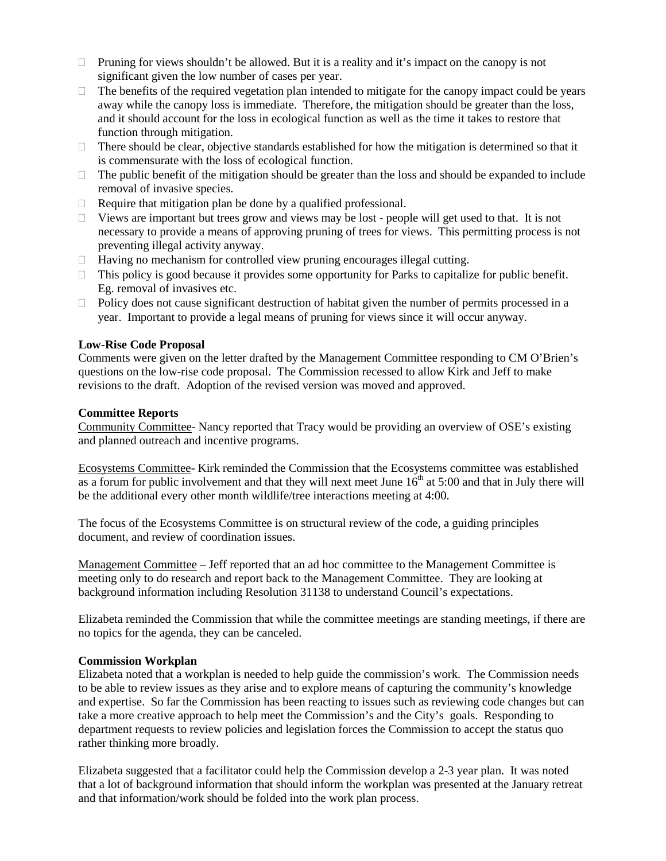- $\Box$  Pruning for views shouldn't be allowed. But it is a reality and it's impact on the canopy is not significant given the low number of cases per year.
- $\Box$  The benefits of the required vegetation plan intended to mitigate for the canopy impact could be years away while the canopy loss is immediate. Therefore, the mitigation should be greater than the loss, and it should account for the loss in ecological function as well as the time it takes to restore that function through mitigation.
- $\Box$  There should be clear, objective standards established for how the mitigation is determined so that it is commensurate with the loss of ecological function.
- $\Box$  The public benefit of the mitigation should be greater than the loss and should be expanded to include removal of invasive species.
- $\Box$  Require that mitigation plan be done by a qualified professional.
- $\Box$  Views are important but trees grow and views may be lost people will get used to that. It is not necessary to provide a means of approving pruning of trees for views. This permitting process is not preventing illegal activity anyway.
- $\Box$  Having no mechanism for controlled view pruning encourages illegal cutting.
- $\Box$  This policy is good because it provides some opportunity for Parks to capitalize for public benefit. Eg. removal of invasives etc.
- $\Box$  Policy does not cause significant destruction of habitat given the number of permits processed in a year. Important to provide a legal means of pruning for views since it will occur anyway.

#### **Low-Rise Code Proposal**

Comments were given on the letter drafted by the Management Committee responding to CM O'Brien's questions on the low-rise code proposal. The Commission recessed to allow Kirk and Jeff to make revisions to the draft. Adoption of the revised version was moved and approved.

#### **Committee Reports**

Community Committee- Nancy reported that Tracy would be providing an overview of OSE's existing and planned outreach and incentive programs.

Ecosystems Committee- Kirk reminded the Commission that the Ecosystems committee was established as a forum for public involvement and that they will next meet June  $16<sup>th</sup>$  at 5:00 and that in July there will be the additional every other month wildlife/tree interactions meeting at 4:00.

The focus of the Ecosystems Committee is on structural review of the code, a guiding principles document, and review of coordination issues.

Management Committee – Jeff reported that an ad hoc committee to the Management Committee is meeting only to do research and report back to the Management Committee. They are looking at background information including Resolution 31138 to understand Council's expectations.

Elizabeta reminded the Commission that while the committee meetings are standing meetings, if there are no topics for the agenda, they can be canceled.

#### **Commission Workplan**

Elizabeta noted that a workplan is needed to help guide the commission's work. The Commission needs to be able to review issues as they arise and to explore means of capturing the community's knowledge and expertise. So far the Commission has been reacting to issues such as reviewing code changes but can take a more creative approach to help meet the Commission's and the City's goals. Responding to department requests to review policies and legislation forces the Commission to accept the status quo rather thinking more broadly.

Elizabeta suggested that a facilitator could help the Commission develop a 2-3 year plan. It was noted that a lot of background information that should inform the workplan was presented at the January retreat and that information/work should be folded into the work plan process.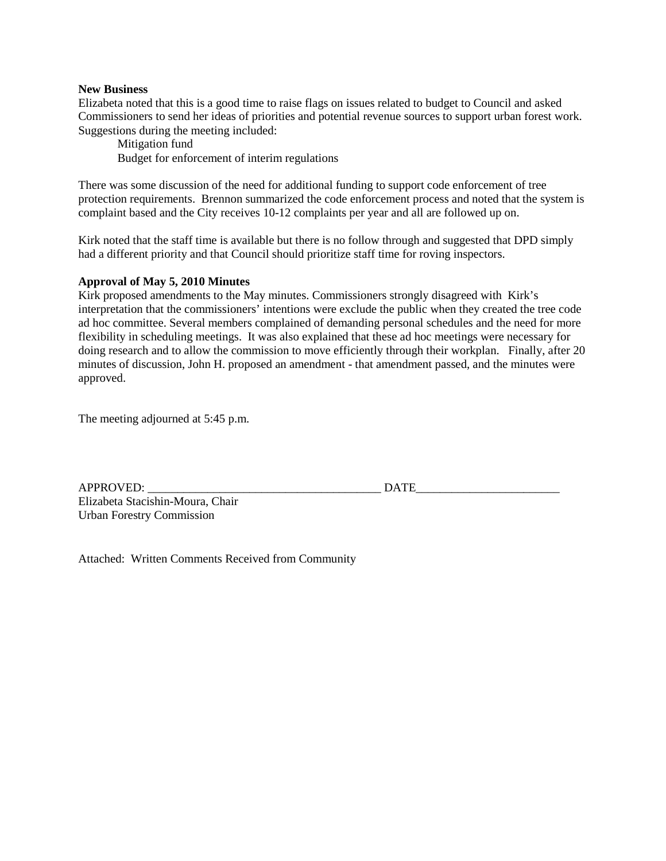#### **New Business**

Elizabeta noted that this is a good time to raise flags on issues related to budget to Council and asked Commissioners to send her ideas of priorities and potential revenue sources to support urban forest work. Suggestions during the meeting included:

Mitigation fund Budget for enforcement of interim regulations

There was some discussion of the need for additional funding to support code enforcement of tree protection requirements. Brennon summarized the code enforcement process and noted that the system is complaint based and the City receives 10-12 complaints per year and all are followed up on.

Kirk noted that the staff time is available but there is no follow through and suggested that DPD simply had a different priority and that Council should prioritize staff time for roving inspectors.

#### **Approval of May 5, 2010 Minutes**

Kirk proposed amendments to the May minutes. Commissioners strongly disagreed with Kirk's interpretation that the commissioners' intentions were exclude the public when they created the tree code ad hoc committee. Several members complained of demanding personal schedules and the need for more flexibility in scheduling meetings. It was also explained that these ad hoc meetings were necessary for doing research and to allow the commission to move efficiently through their workplan. Finally, after 20 minutes of discussion, John H. proposed an amendment - that amendment passed, and the minutes were approved.

The meeting adjourned at 5:45 p.m.

| <b>APPROVED:</b>                 |  |
|----------------------------------|--|
| Elizabeta Stacishin-Moura, Chair |  |
| <b>Urban Forestry Commission</b> |  |

APPROVED: \_\_\_\_\_\_\_\_\_\_\_\_\_\_\_\_\_\_\_\_\_\_\_\_\_\_\_\_\_\_\_\_\_\_\_\_\_\_\_ DATE\_\_\_\_\_\_\_\_\_\_\_\_\_\_\_\_\_\_\_\_\_\_\_\_

Attached: Written Comments Received from Community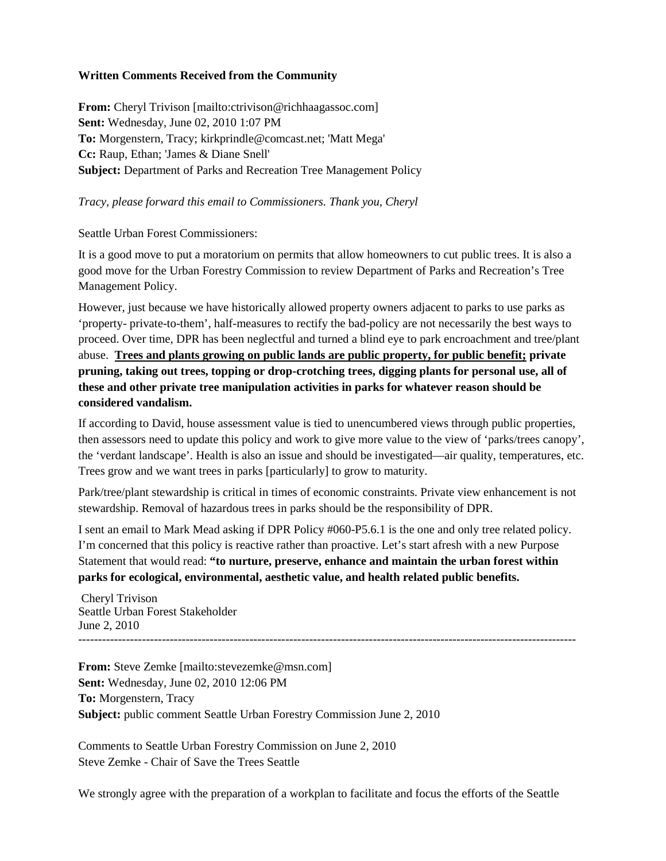### **Written Comments Received from the Community**

**From:** Cheryl Trivison [mailto:ctrivison@richhaagassoc.com] **Sent:** Wednesday, June 02, 2010 1:07 PM **To:** Morgenstern, Tracy; kirkprindle@comcast.net; 'Matt Mega' **Cc:** Raup, Ethan; 'James & Diane Snell' **Subject:** Department of Parks and Recreation Tree Management Policy

## *Tracy, please forward this email to Commissioners. Thank you, Cheryl*

Seattle Urban Forest Commissioners:

It is a good move to put a moratorium on permits that allow homeowners to cut public trees. It is also a good move for the Urban Forestry Commission to review Department of Parks and Recreation's Tree Management Policy.

However, just because we have historically allowed property owners adjacent to parks to use parks as 'property- private-to-them', half-measures to rectify the bad-policy are not necessarily the best ways to proceed. Over time, DPR has been neglectful and turned a blind eye to park encroachment and tree/plant abuse. **Trees and plants growing on public lands are public property, for public benefit; private pruning, taking out trees, topping or drop-crotching trees, digging plants for personal use, all of these and other private tree manipulation activities in parks for whatever reason should be considered vandalism.**

If according to David, house assessment value is tied to unencumbered views through public properties, then assessors need to update this policy and work to give more value to the view of 'parks/trees canopy', the 'verdant landscape'. Health is also an issue and should be investigated—air quality, temperatures, etc. Trees grow and we want trees in parks [particularly] to grow to maturity.

Park/tree/plant stewardship is critical in times of economic constraints. Private view enhancement is not stewardship. Removal of hazardous trees in parks should be the responsibility of DPR.

I sent an email to Mark Mead asking if DPR Policy #060-P5.6.1 is the one and only tree related policy. I'm concerned that this policy is reactive rather than proactive. Let's start afresh with a new Purpose Statement that would read: **"to nurture, preserve, enhance and maintain the urban forest within parks for ecological, environmental, aesthetic value, and health related public benefits.**

Cheryl Trivison Seattle Urban Forest Stakeholder June 2, 2010 -----------------------------------------------------------------------------------------------------------------------------

**From:** Steve Zemke [mailto:stevezemke@msn.com] **Sent:** Wednesday, June 02, 2010 12:06 PM **To:** Morgenstern, Tracy **Subject:** public comment Seattle Urban Forestry Commission June 2, 2010

Comments to Seattle Urban Forestry Commission on June 2, 2010 Steve Zemke - Chair of Save the Trees Seattle

We strongly agree with the preparation of a workplan to facilitate and focus the efforts of the Seattle